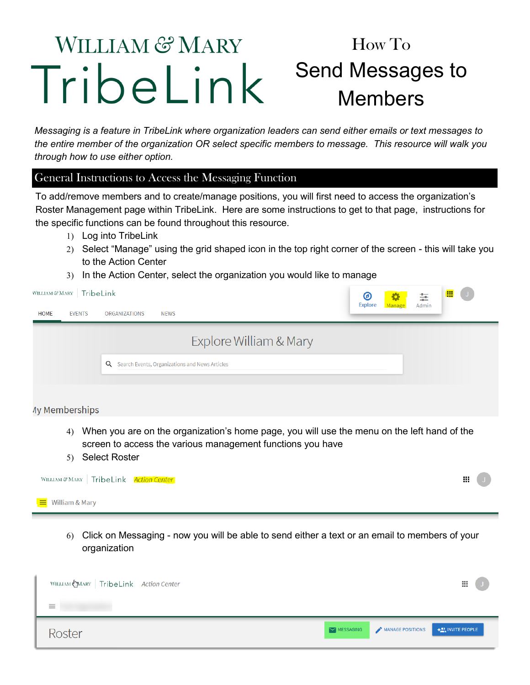## WILLIAM & MARY How To Send Messages to TribeLink Members

*Messaging is a feature in TribeLink where organization leaders can send either emails or text messages to the entire member of the organization OR select specific members to message. This resource will walk you through how to use either option.* 

## General Instructions to Access the Messaging Function

To add/remove members and to create/manage positions, you will first need to access the organization's Roster Management page within TribeLink. Here are some instructions to get to that page, instructions for the specific functions can be found throughout this resource.

- Log into TribeLink
- 2) Select "Manage" using the grid shaped icon in the top right corner of the screen this will take you to the Action Center
- 3) In the Action Center, select the organization you would like to manage

| WILLIAM & MARY   TribeLink   |                                                                                             | ◉<br><b>Explore</b> | Manage | 茥<br>Admin | 噩<br>$\cup$ |
|------------------------------|---------------------------------------------------------------------------------------------|---------------------|--------|------------|-------------|
| <b>HOME</b><br><b>EVENTS</b> | <b>ORGANIZATIONS</b><br><b>NEWS</b>                                                         |                     |        |            |             |
|                              | Explore William & Mary                                                                      |                     |        |            |             |
|                              | Q Search Events, Organizations and News Articles                                            |                     |        |            |             |
| <b>Ay Memberships</b>        |                                                                                             |                     |        |            |             |
| $\mathbf{A}$                 | When you are on the organization's home nage, you will use the menu on the left hand of the |                     |        |            |             |

- When you are on the organization's home page, you will use the menu on the left hand of the screen to access the various management functions you have
- 5) Select Roster

| WILLIAM & MARY TribeLink Action Center | Ш. |  |
|----------------------------------------|----|--|
| $\equiv$ William & Mary                |    |  |

 Click on Messaging - now you will be able to send either a text or an email to members of your organization